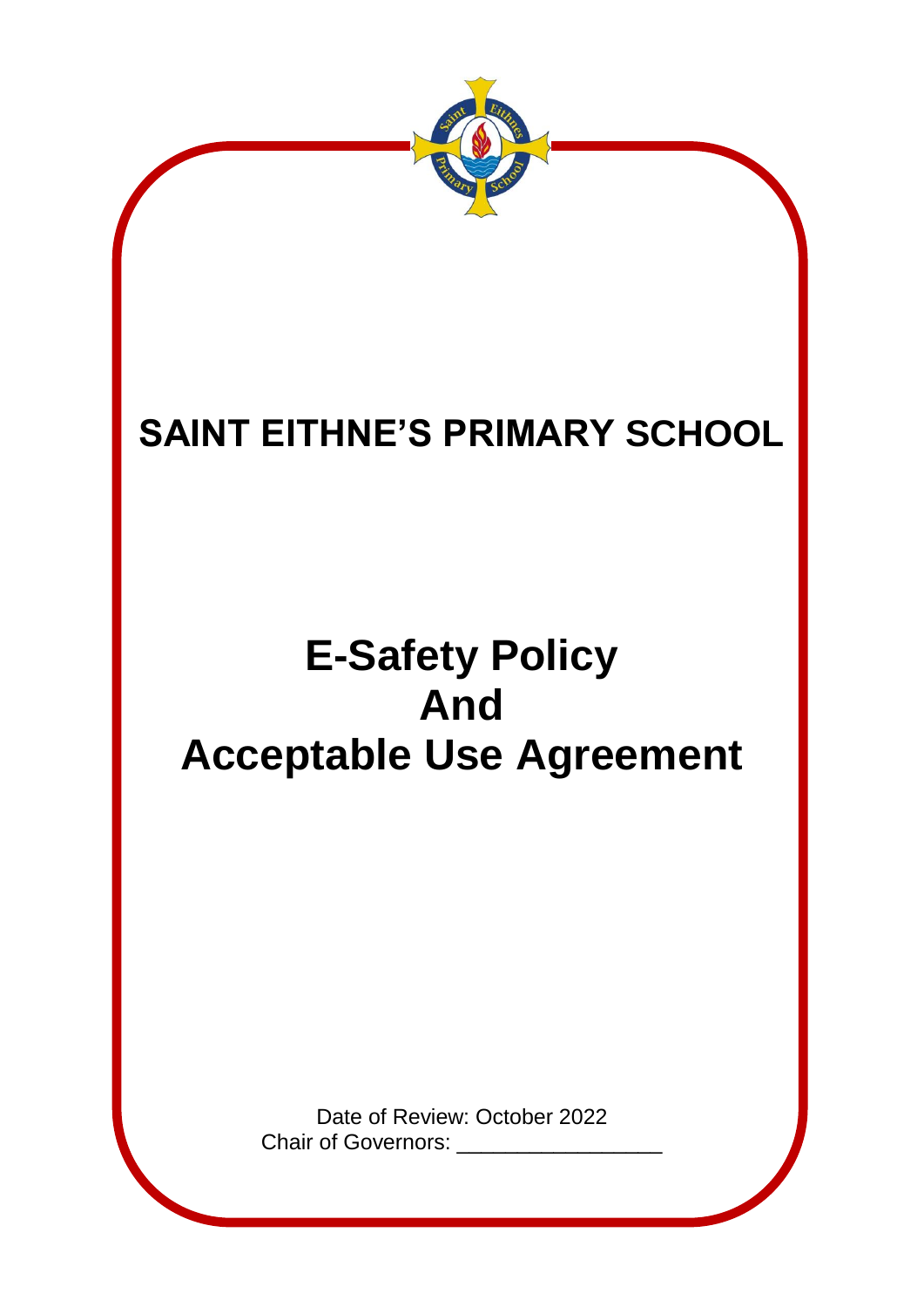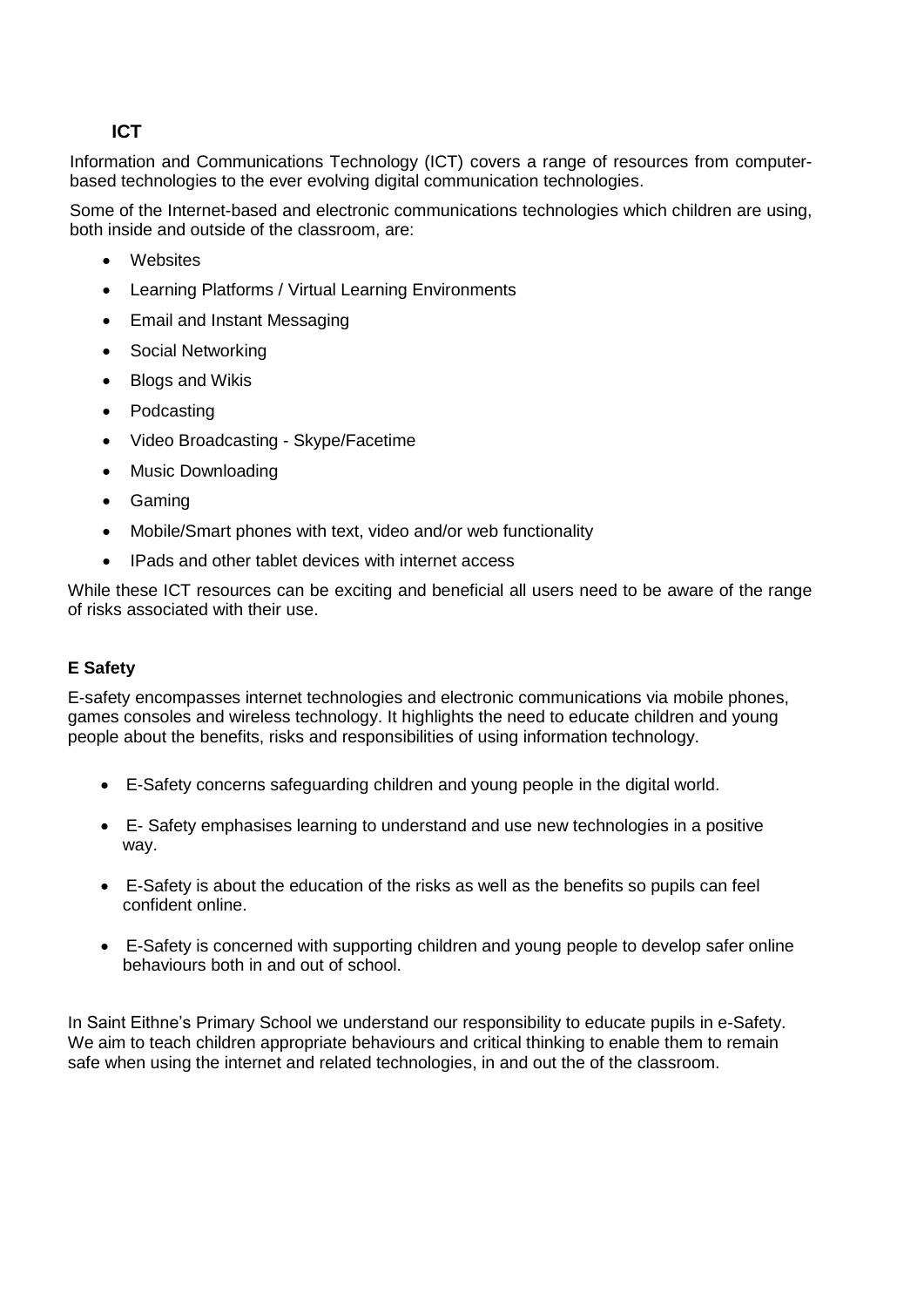# **ICT**

Information and Communications Technology (ICT) covers a range of resources from computerbased technologies to the ever evolving digital communication technologies.

Some of the Internet-based and electronic communications technologies which children are using, both inside and outside of the classroom, are:

- Websites
- Learning Platforms / Virtual Learning Environments
- Email and Instant Messaging
- Social Networking
- Blogs and Wikis
- Podcasting
- Video Broadcasting Skype/Facetime
- Music Downloading
- Gaming
- Mobile/Smart phones with text, video and/or web functionality
- IPads and other tablet devices with internet access

While these ICT resources can be exciting and beneficial all users need to be aware of the range of risks associated with their use.

#### **E Safety**

E-safety encompasses internet technologies and electronic communications via mobile phones, games consoles and wireless technology. It highlights the need to educate children and young people about the benefits, risks and responsibilities of using information technology.

- E-Safety concerns safeguarding children and young people in the digital world.
- E- Safety emphasises learning to understand and use new technologies in a positive way.
- E-Safety is about the education of the risks as well as the benefits so pupils can feel confident online.
- E-Safety is concerned with supporting children and young people to develop safer online behaviours both in and out of school.

In Saint Eithne's Primary School we understand our responsibility to educate pupils in e-Safety. We aim to teach children appropriate behaviours and critical thinking to enable them to remain safe when using the internet and related technologies, in and out the of the classroom.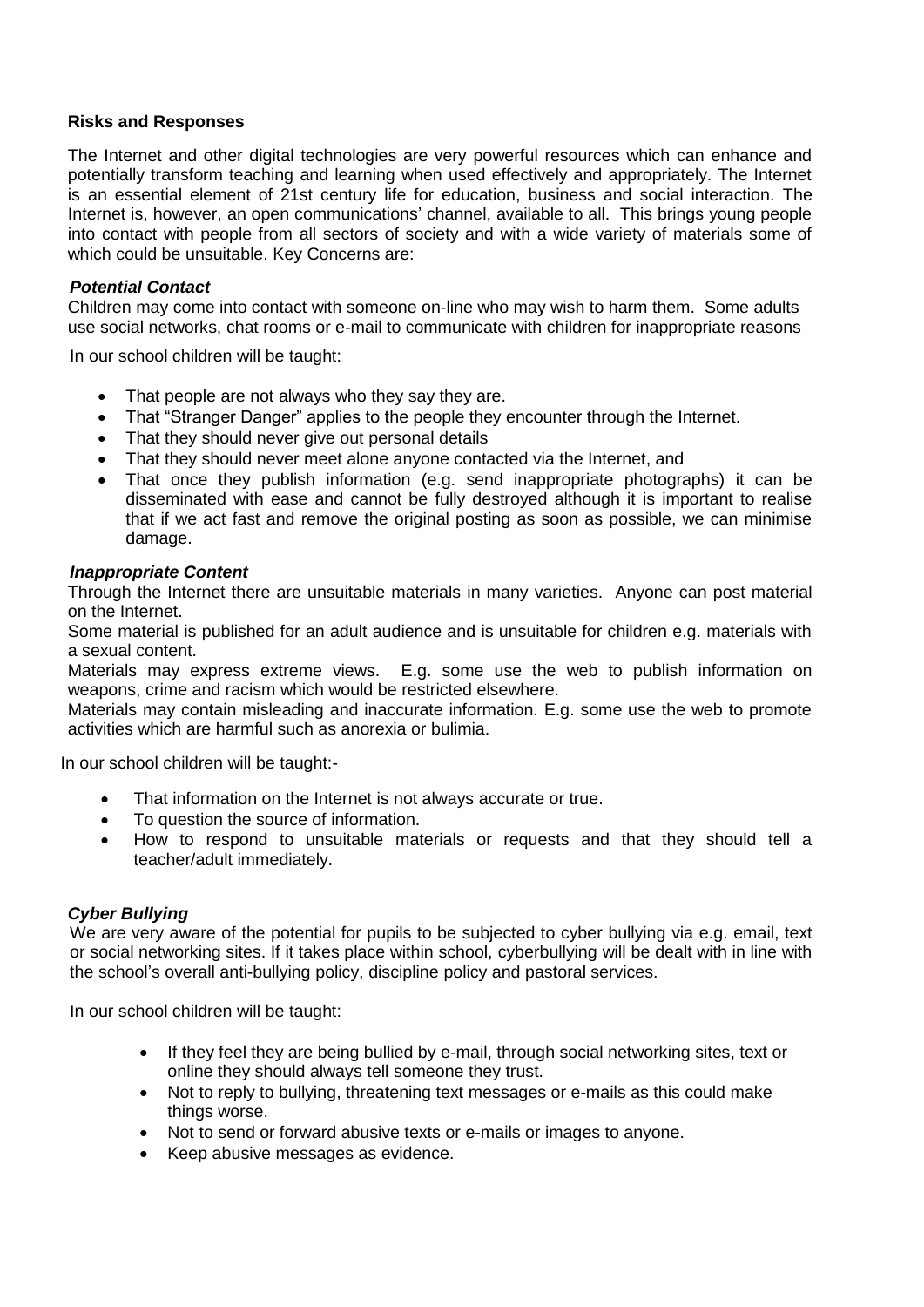#### **Risks and Responses**

The Internet and other digital technologies are very powerful resources which can enhance and potentially transform teaching and learning when used effectively and appropriately. The Internet is an essential element of 21st century life for education, business and social interaction. The Internet is, however, an open communications' channel, available to all. This brings young people into contact with people from all sectors of society and with a wide variety of materials some of which could be unsuitable. Key Concerns are:

#### *Potential Contact*

Children may come into contact with someone on-line who may wish to harm them. Some adults use social networks, chat rooms or e-mail to communicate with children for inappropriate reasons

In our school children will be taught:

- That people are not always who they say they are.
- That "Stranger Danger" applies to the people they encounter through the Internet.
- That they should never give out personal details
- That they should never meet alone anyone contacted via the Internet, and
- That once they publish information (e.g. send inappropriate photographs) it can be disseminated with ease and cannot be fully destroyed although it is important to realise that if we act fast and remove the original posting as soon as possible, we can minimise damage.

#### *Inappropriate Content*

Through the Internet there are unsuitable materials in many varieties. Anyone can post material on the Internet.

Some material is published for an adult audience and is unsuitable for children e.g. materials with a sexual content.

Materials may express extreme views. E.g. some use the web to publish information on weapons, crime and racism which would be restricted elsewhere.

Materials may contain misleading and inaccurate information. E.g. some use the web to promote activities which are harmful such as anorexia or bulimia.

In our school children will be taught:-

- That information on the Internet is not always accurate or true.
- To question the source of information.
- How to respond to unsuitable materials or requests and that they should tell a teacher/adult immediately.

#### *Cyber Bullying*

We are very aware of the potential for pupils to be subjected to cyber bullying via e.g. email, text or social networking sites. If it takes place within school, cyberbullying will be dealt with in line with the school's overall anti-bullying policy, discipline policy and pastoral services.

In our school children will be taught:

- If they feel they are being bullied by e-mail, through social networking sites, text or online they should always tell someone they trust.
- Not to reply to bullying, threatening text messages or e-mails as this could make things worse.
- Not to send or forward abusive texts or e-mails or images to anyone.
- Keep abusive messages as evidence.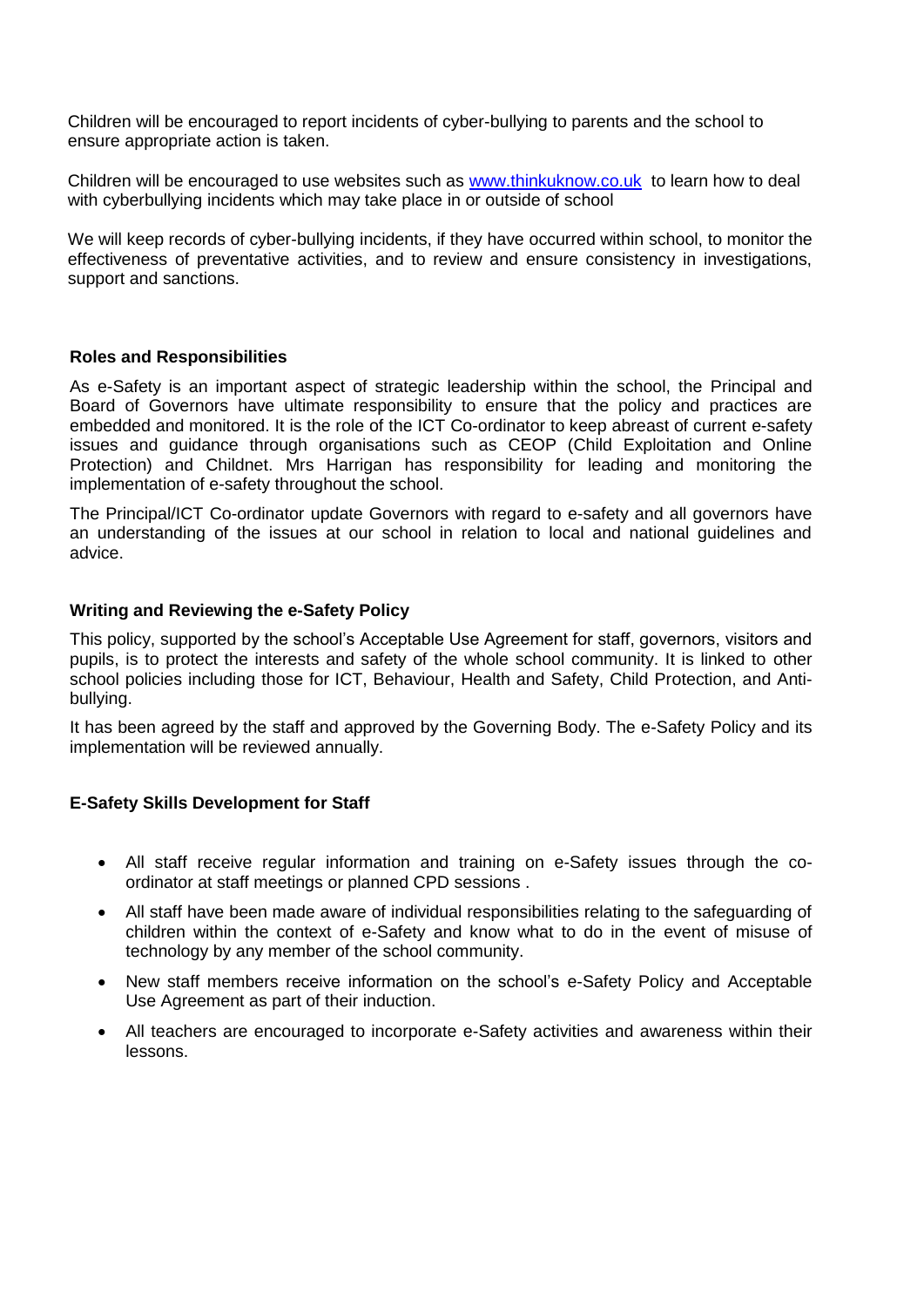Children will be encouraged to report incidents of cyber-bullying to parents and the school to ensure appropriate action is taken.

Children will be encouraged to use websites such as [www.thinkuknow.co.uk](http://www.thinkuknow.co.uk/) to learn how to deal with cyberbullying incidents which may take place in or outside of school

We will keep records of cyber-bullying incidents, if they have occurred within school, to monitor the effectiveness of preventative activities, and to review and ensure consistency in investigations, support and sanctions.

#### **Roles and Responsibilities**

As e-Safety is an important aspect of strategic leadership within the school, the Principal and Board of Governors have ultimate responsibility to ensure that the policy and practices are embedded and monitored. It is the role of the ICT Co-ordinator to keep abreast of current e-safety issues and guidance through organisations such as CEOP (Child Exploitation and Online Protection) and Childnet. Mrs Harrigan has responsibility for leading and monitoring the implementation of e-safety throughout the school.

The Principal/ICT Co-ordinator update Governors with regard to e-safety and all governors have an understanding of the issues at our school in relation to local and national guidelines and advice.

#### **Writing and Reviewing the e-Safety Policy**

This policy, supported by the school's Acceptable Use Agreement for staff, governors, visitors and pupils, is to protect the interests and safety of the whole school community. It is linked to other school policies including those for ICT, Behaviour, Health and Safety, Child Protection, and Antibullying.

It has been agreed by the staff and approved by the Governing Body. The e-Safety Policy and its implementation will be reviewed annually.

#### **E-Safety Skills Development for Staff**

- All staff receive regular information and training on e-Safety issues through the coordinator at staff meetings or planned CPD sessions .
- All staff have been made aware of individual responsibilities relating to the safeguarding of children within the context of e-Safety and know what to do in the event of misuse of technology by any member of the school community.
- New staff members receive information on the school's e-Safety Policy and Acceptable Use Agreement as part of their induction.
- All teachers are encouraged to incorporate e-Safety activities and awareness within their lessons.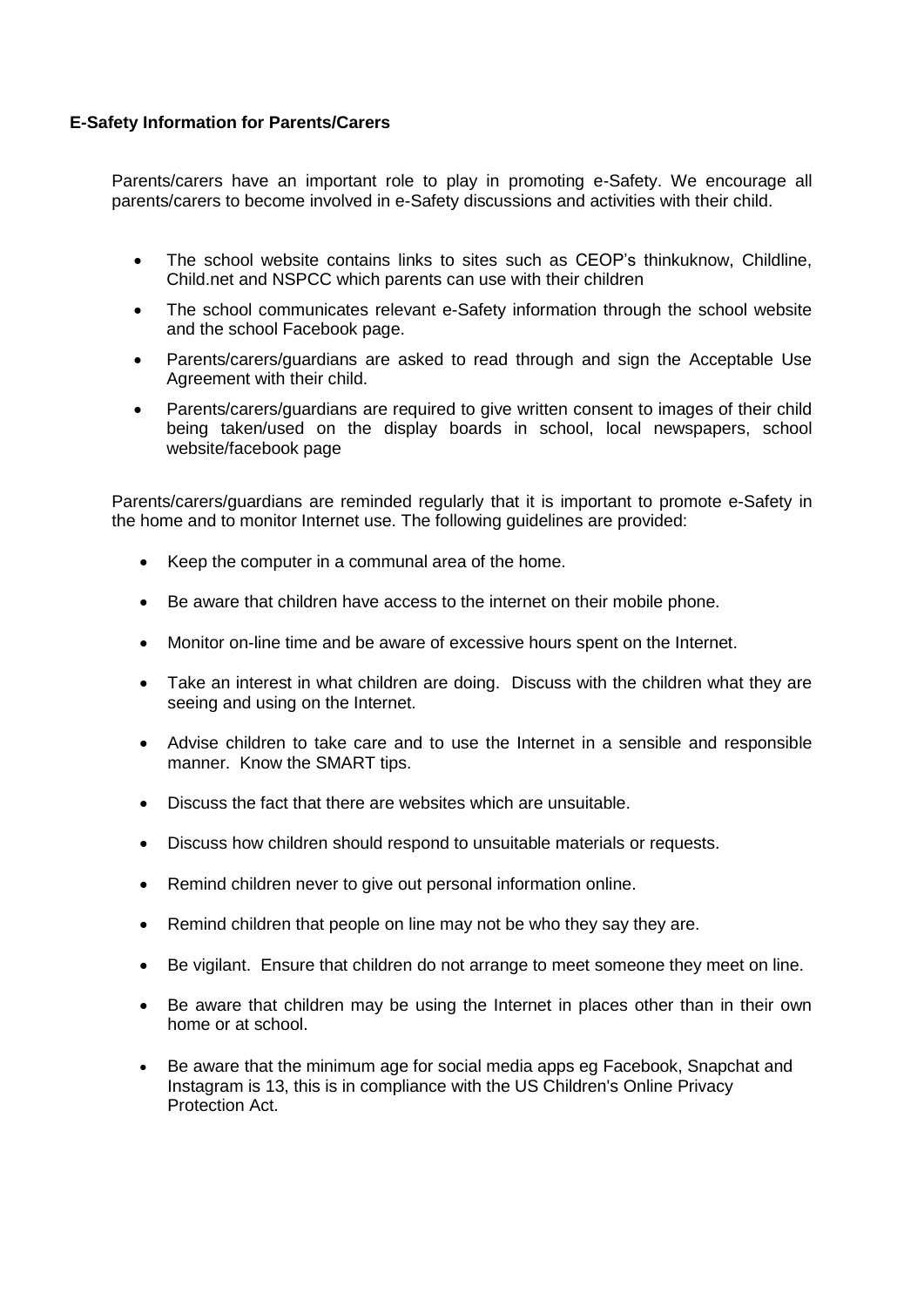#### **E-Safety Information for Parents/Carers**

Parents/carers have an important role to play in promoting e-Safety. We encourage all parents/carers to become involved in e-Safety discussions and activities with their child.

- The school website contains links to sites such as CEOP's thinkuknow, Childline, Child.net and NSPCC which parents can use with their children
- The school communicates relevant e-Safety information through the school website and the school Facebook page.
- Parents/carers/guardians are asked to read through and sign the Acceptable Use Agreement with their child.
- Parents/carers/guardians are required to give written consent to images of their child being taken/used on the display boards in school, local newspapers, school website/facebook page

Parents/carers/guardians are reminded regularly that it is important to promote e-Safety in the home and to monitor Internet use. The following guidelines are provided:

- Keep the computer in a communal area of the home.
- Be aware that children have access to the internet on their mobile phone.
- Monitor on-line time and be aware of excessive hours spent on the Internet.
- Take an interest in what children are doing. Discuss with the children what they are seeing and using on the Internet.
- Advise children to take care and to use the Internet in a sensible and responsible manner. Know the SMART tips.
- Discuss the fact that there are websites which are unsuitable.
- Discuss how children should respond to unsuitable materials or requests.
- Remind children never to give out personal information online.
- Remind children that people on line may not be who they say they are.
- Be vigilant. Ensure that children do not arrange to meet someone they meet on line.
- Be aware that children may be using the Internet in places other than in their own home or at school.
- Be aware that the minimum age for social media apps eg Facebook, Snapchat and Instagram is 13, this is in compliance with the US Children's Online Privacy Protection Act.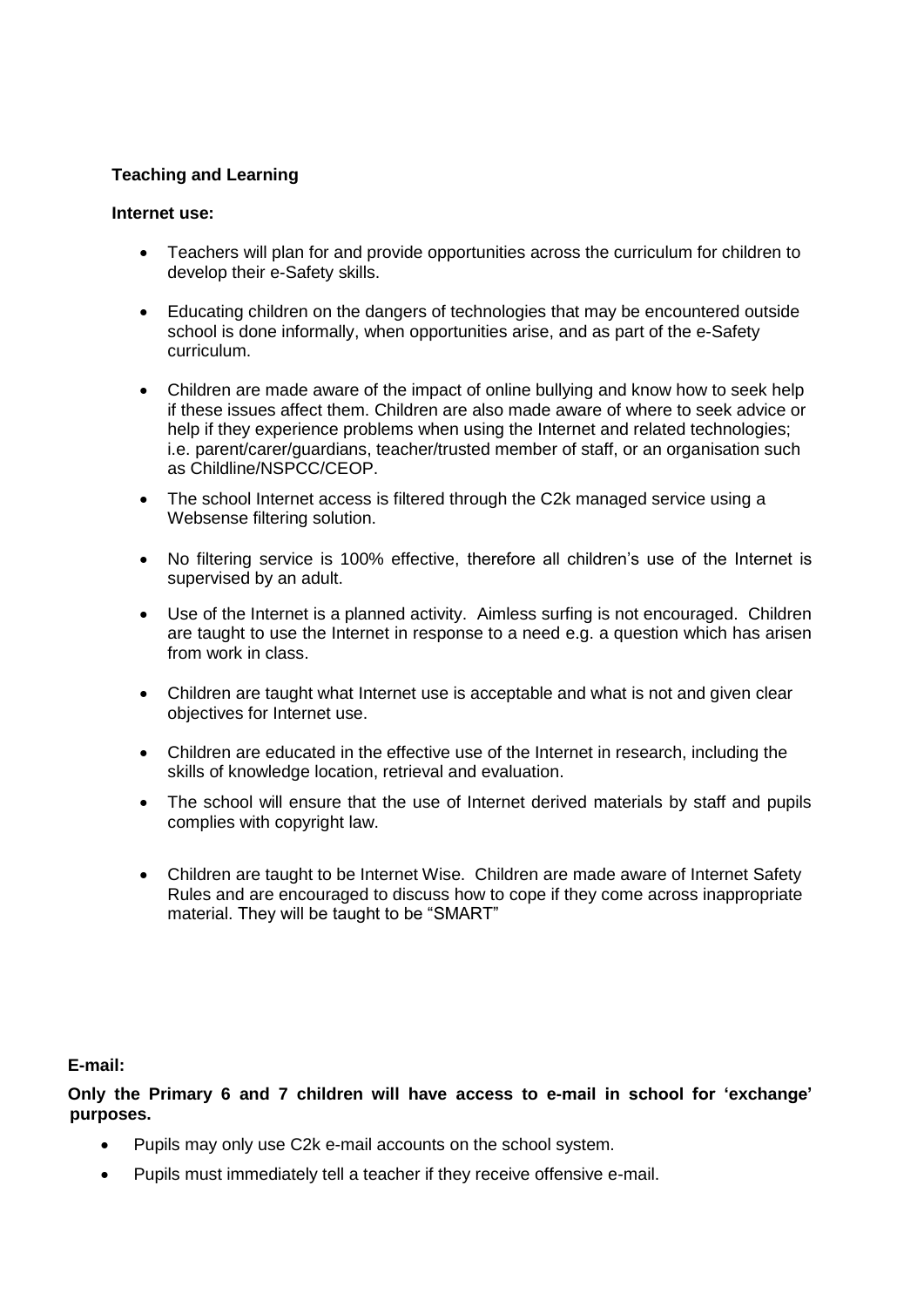# **Teaching and Learning**

#### **Internet use:**

- Teachers will plan for and provide opportunities across the curriculum for children to develop their e-Safety skills.
- Educating children on the dangers of technologies that may be encountered outside school is done informally, when opportunities arise, and as part of the e-Safety curriculum.
- Children are made aware of the impact of online bullying and know how to seek help if these issues affect them. Children are also made aware of where to seek advice or help if they experience problems when using the Internet and related technologies; i.e. parent/carer/guardians, teacher/trusted member of staff, or an organisation such as Childline/NSPCC/CEOP.
- The school Internet access is filtered through the C2k managed service using a Websense filtering solution.
- No filtering service is 100% effective, therefore all children's use of the Internet is supervised by an adult.
- Use of the Internet is a planned activity. Aimless surfing is not encouraged. Children are taught to use the Internet in response to a need e.g. a question which has arisen from work in class.
- Children are taught what Internet use is acceptable and what is not and given clear objectives for Internet use.
- Children are educated in the effective use of the Internet in research, including the skills of knowledge location, retrieval and evaluation.
- The school will ensure that the use of Internet derived materials by staff and pupils complies with copyright law.
- Children are taught to be Internet Wise. Children are made aware of Internet Safety Rules and are encouraged to discuss how to cope if they come across inappropriate material. They will be taught to be "SMART"

**E-mail:**

**Only the Primary 6 and 7 children will have access to e-mail in school for 'exchange' purposes.**

- Pupils may only use C2k e-mail accounts on the school system.
- Pupils must immediately tell a teacher if they receive offensive e-mail.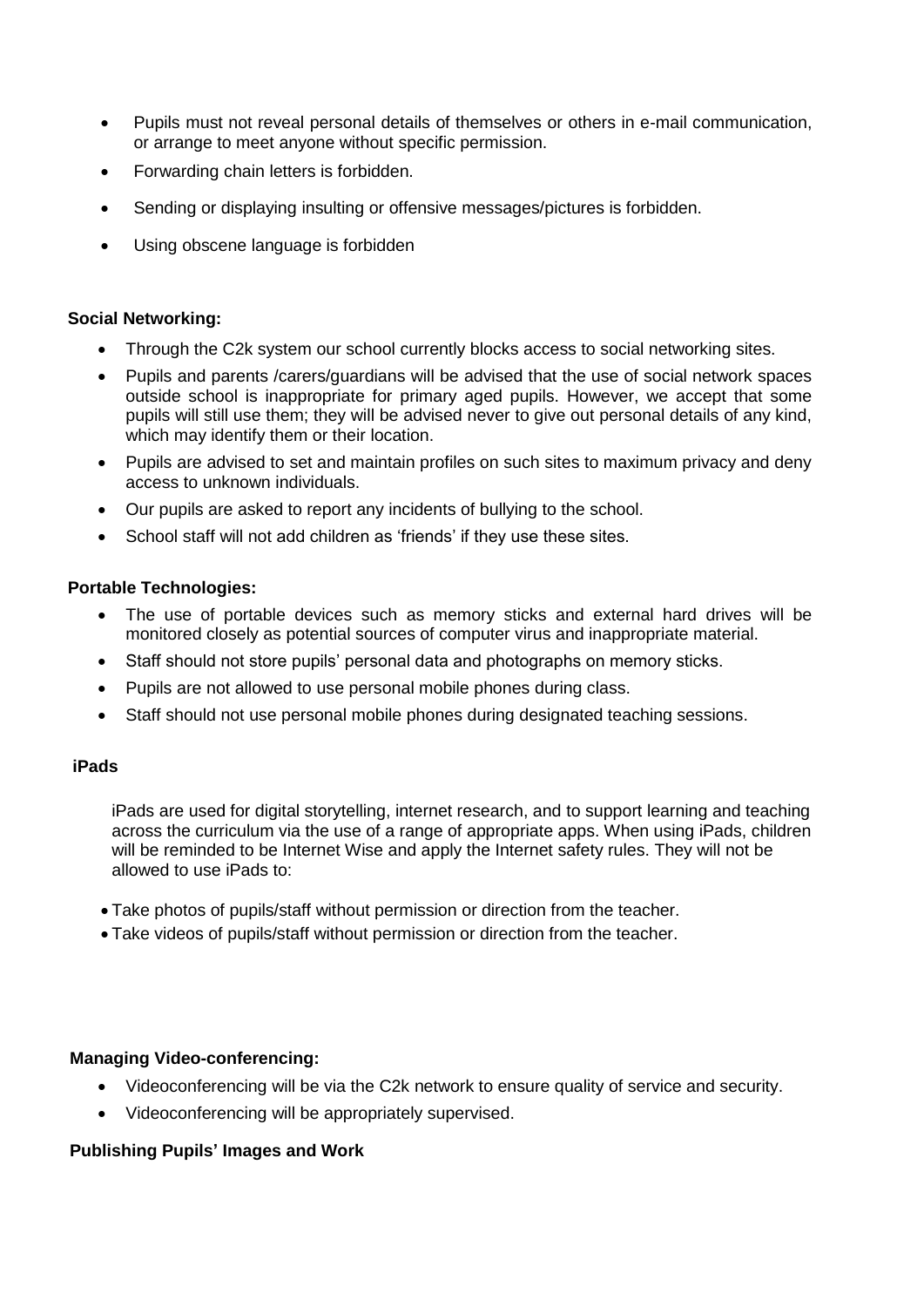- Pupils must not reveal personal details of themselves or others in e-mail communication, or arrange to meet anyone without specific permission.
- Forwarding chain letters is forbidden.
- Sending or displaying insulting or offensive messages/pictures is forbidden.
- Using obscene language is forbidden

#### **Social Networking:**

- Through the C2k system our school currently blocks access to social networking sites.
- Pupils and parents /carers/guardians will be advised that the use of social network spaces outside school is inappropriate for primary aged pupils. However, we accept that some pupils will still use them; they will be advised never to give out personal details of any kind, which may identify them or their location.
- Pupils are advised to set and maintain profiles on such sites to maximum privacy and deny access to unknown individuals.
- Our pupils are asked to report any incidents of bullying to the school.
- School staff will not add children as 'friends' if they use these sites.

#### **Portable Technologies:**

- The use of portable devices such as memory sticks and external hard drives will be monitored closely as potential sources of computer virus and inappropriate material.
- Staff should not store pupils' personal data and photographs on memory sticks.
- Pupils are not allowed to use personal mobile phones during class.
- Staff should not use personal mobile phones during designated teaching sessions.

#### **iPads**

iPads are used for digital storytelling, internet research, and to support learning and teaching across the curriculum via the use of a range of appropriate apps. When using iPads, children will be reminded to be Internet Wise and apply the Internet safety rules. They will not be allowed to use iPads to:

- Take photos of pupils/staff without permission or direction from the teacher.
- Take videos of pupils/staff without permission or direction from the teacher.

#### **Managing Video-conferencing:**

- Videoconferencing will be via the C2k network to ensure quality of service and security.
- Videoconferencing will be appropriately supervised.

#### **Publishing Pupils' Images and Work**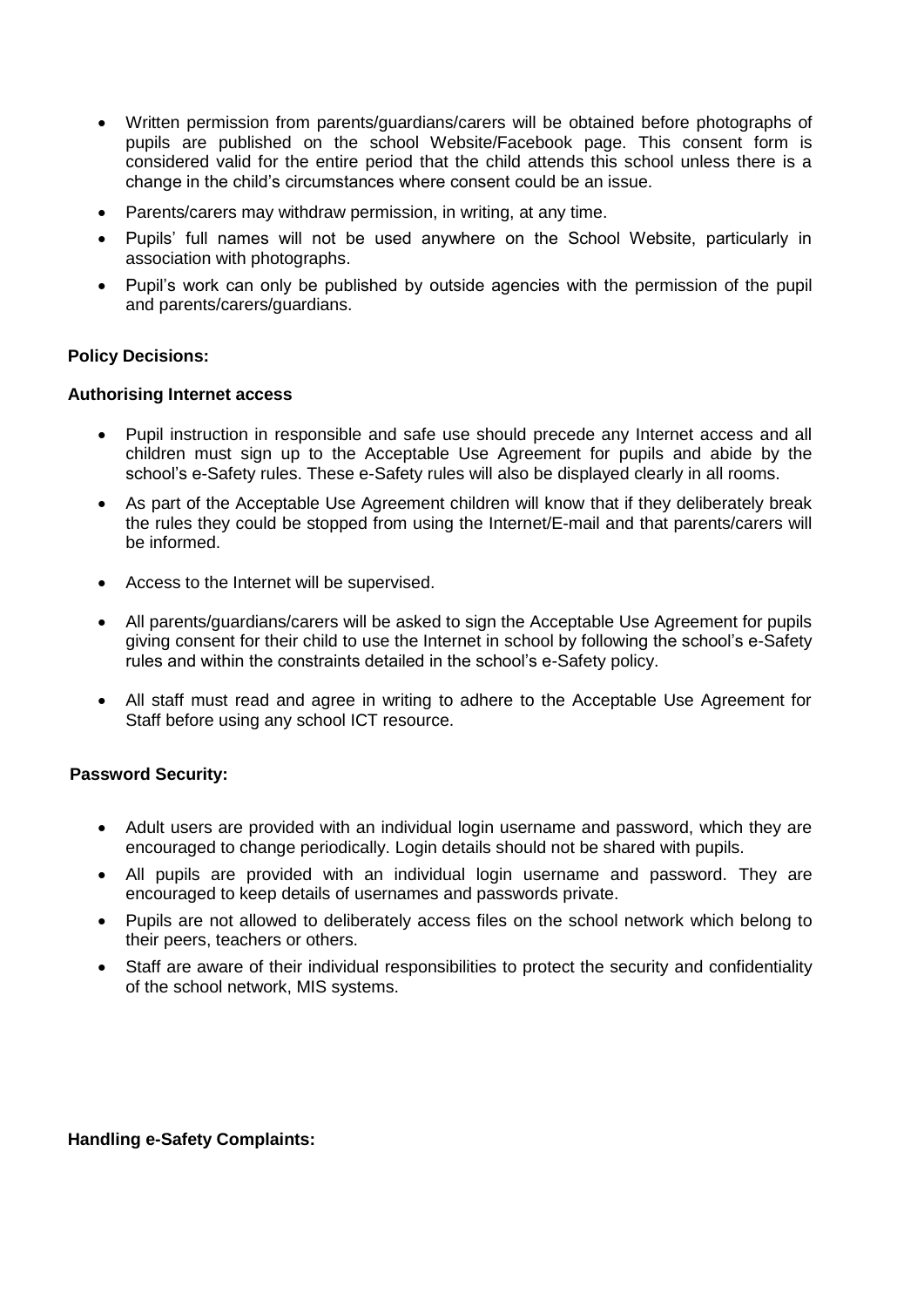- Written permission from parents/guardians/carers will be obtained before photographs of pupils are published on the school Website/Facebook page. This consent form is considered valid for the entire period that the child attends this school unless there is a change in the child's circumstances where consent could be an issue.
- Parents/carers may withdraw permission, in writing, at any time.
- Pupils' full names will not be used anywhere on the School Website, particularly in association with photographs.
- Pupil's work can only be published by outside agencies with the permission of the pupil and parents/carers/guardians.

#### **Policy Decisions:**

#### **Authorising Internet access**

- Pupil instruction in responsible and safe use should precede any Internet access and all children must sign up to the Acceptable Use Agreement for pupils and abide by the school's e-Safety rules. These e-Safety rules will also be displayed clearly in all rooms.
- As part of the Acceptable Use Agreement children will know that if they deliberately break the rules they could be stopped from using the Internet/E-mail and that parents/carers will be informed.
- Access to the Internet will be supervised.
- All parents/guardians/carers will be asked to sign the Acceptable Use Agreement for pupils giving consent for their child to use the Internet in school by following the school's e-Safety rules and within the constraints detailed in the school's e-Safety policy.
- All staff must read and agree in writing to adhere to the Acceptable Use Agreement for Staff before using any school ICT resource.

#### **Password Security:**

- Adult users are provided with an individual login username and password, which they are encouraged to change periodically. Login details should not be shared with pupils.
- All pupils are provided with an individual login username and password. They are encouraged to keep details of usernames and passwords private.
- Pupils are not allowed to deliberately access files on the school network which belong to their peers, teachers or others.
- Staff are aware of their individual responsibilities to protect the security and confidentiality of the school network, MIS systems.

#### **Handling e-Safety Complaints:**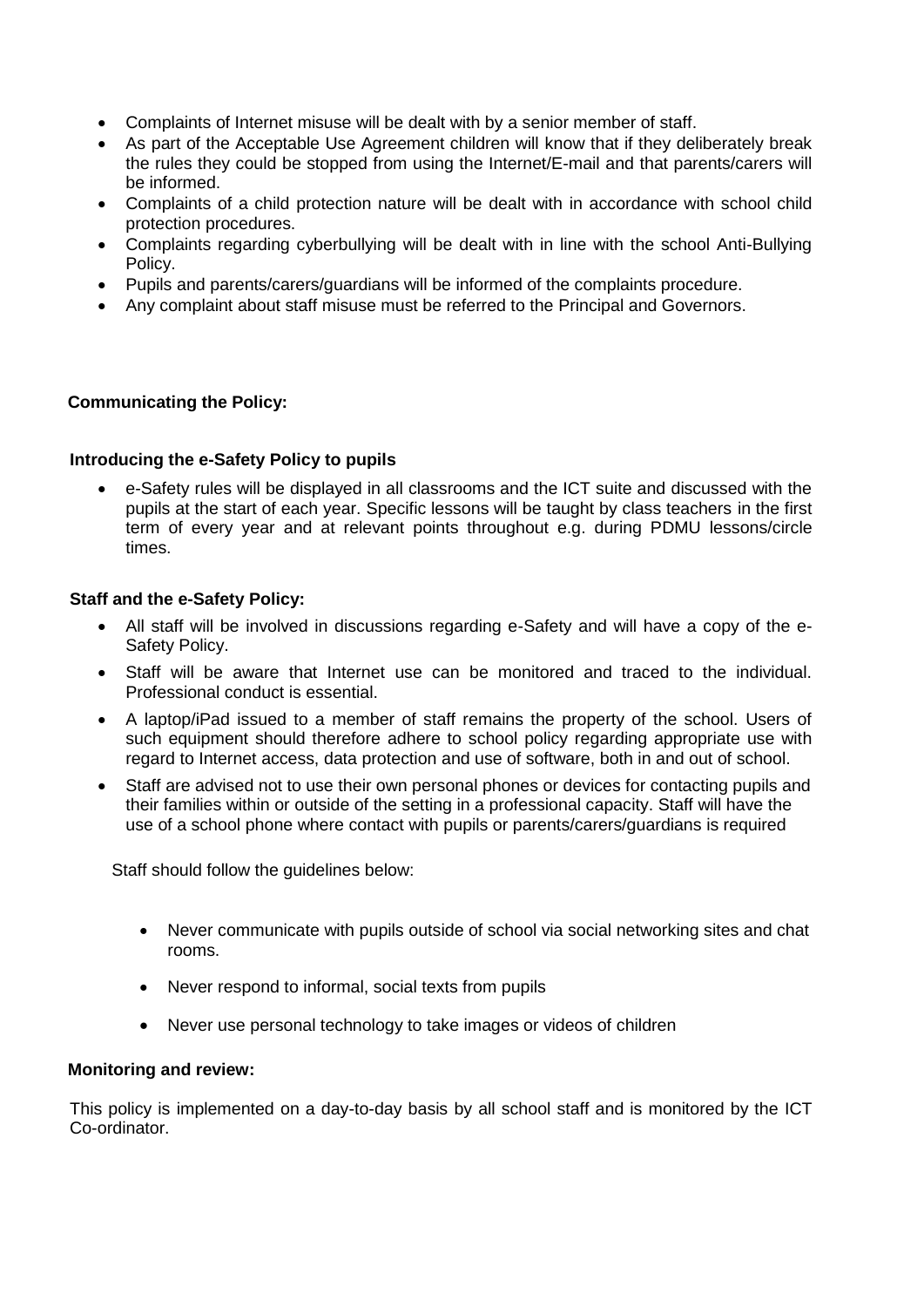- Complaints of Internet misuse will be dealt with by a senior member of staff.
- As part of the Acceptable Use Agreement children will know that if they deliberately break the rules they could be stopped from using the Internet/E-mail and that parents/carers will be informed.
- Complaints of a child protection nature will be dealt with in accordance with school child protection procedures.
- Complaints regarding cyberbullying will be dealt with in line with the school Anti-Bullying Policy.
- Pupils and parents/carers/guardians will be informed of the complaints procedure.
- Any complaint about staff misuse must be referred to the Principal and Governors.

# **Communicating the Policy:**

# **Introducing the e-Safety Policy to pupils**

 e-Safety rules will be displayed in all classrooms and the ICT suite and discussed with the pupils at the start of each year. Specific lessons will be taught by class teachers in the first term of every year and at relevant points throughout e.g. during PDMU lessons/circle times.

# **Staff and the e-Safety Policy:**

- All staff will be involved in discussions regarding e-Safety and will have a copy of the e-Safety Policy.
- Staff will be aware that Internet use can be monitored and traced to the individual. Professional conduct is essential.
- A laptop/iPad issued to a member of staff remains the property of the school. Users of such equipment should therefore adhere to school policy regarding appropriate use with regard to Internet access, data protection and use of software, both in and out of school.
- Staff are advised not to use their own personal phones or devices for contacting pupils and their families within or outside of the setting in a professional capacity. Staff will have the use of a school phone where contact with pupils or parents/carers/guardians is required

Staff should follow the guidelines below:

- Never communicate with pupils outside of school via social networking sites and chat rooms.
- Never respond to informal, social texts from pupils
- Never use personal technology to take images or videos of children

#### **Monitoring and review:**

This policy is implemented on a day-to-day basis by all school staff and is monitored by the ICT Co-ordinator.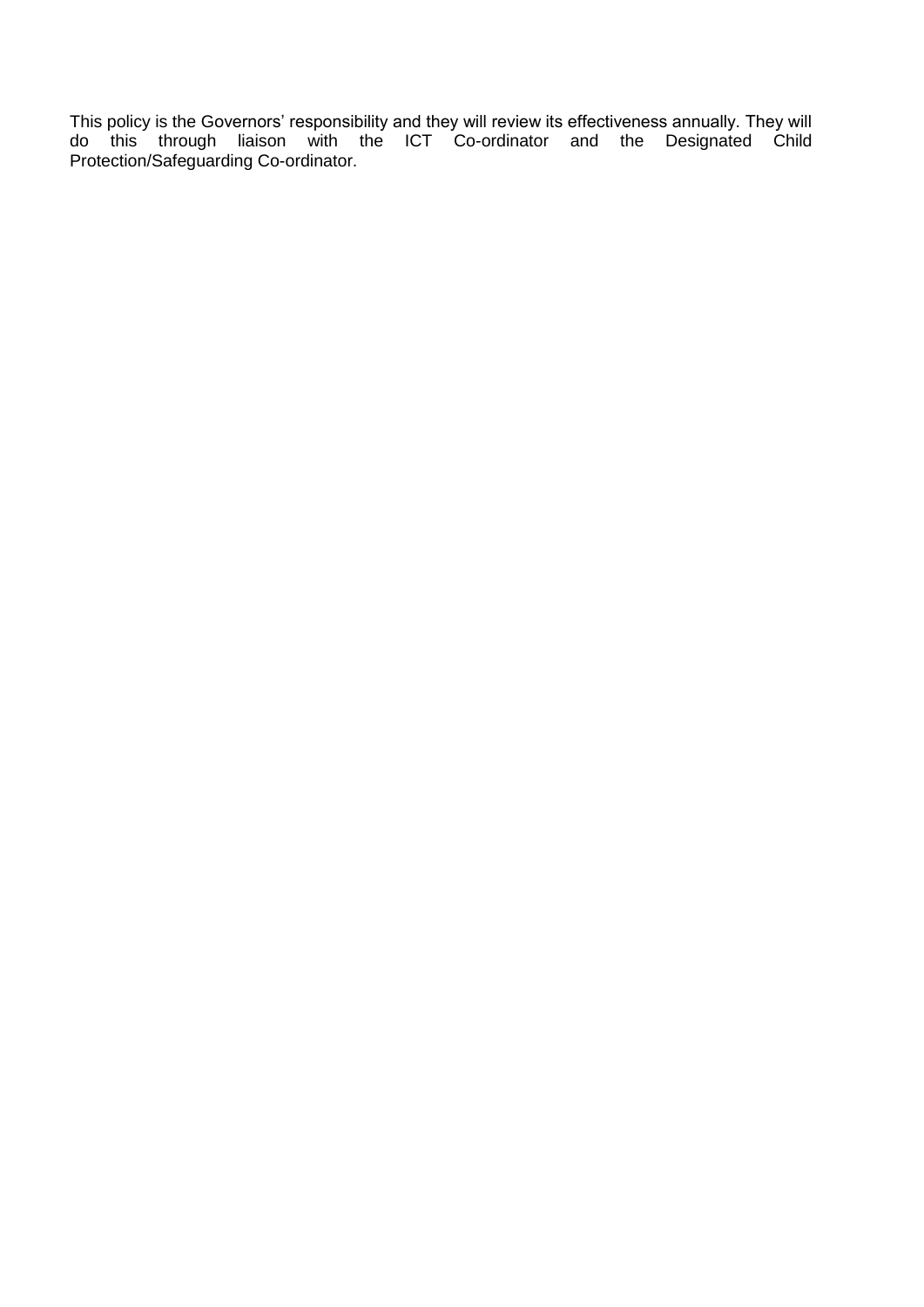This policy is the Governors' responsibility and they will review its effectiveness annually. They will do this through liaison with the ICT Co-ordinator and the Designated Child Protection/Safeguarding Co-ordinator.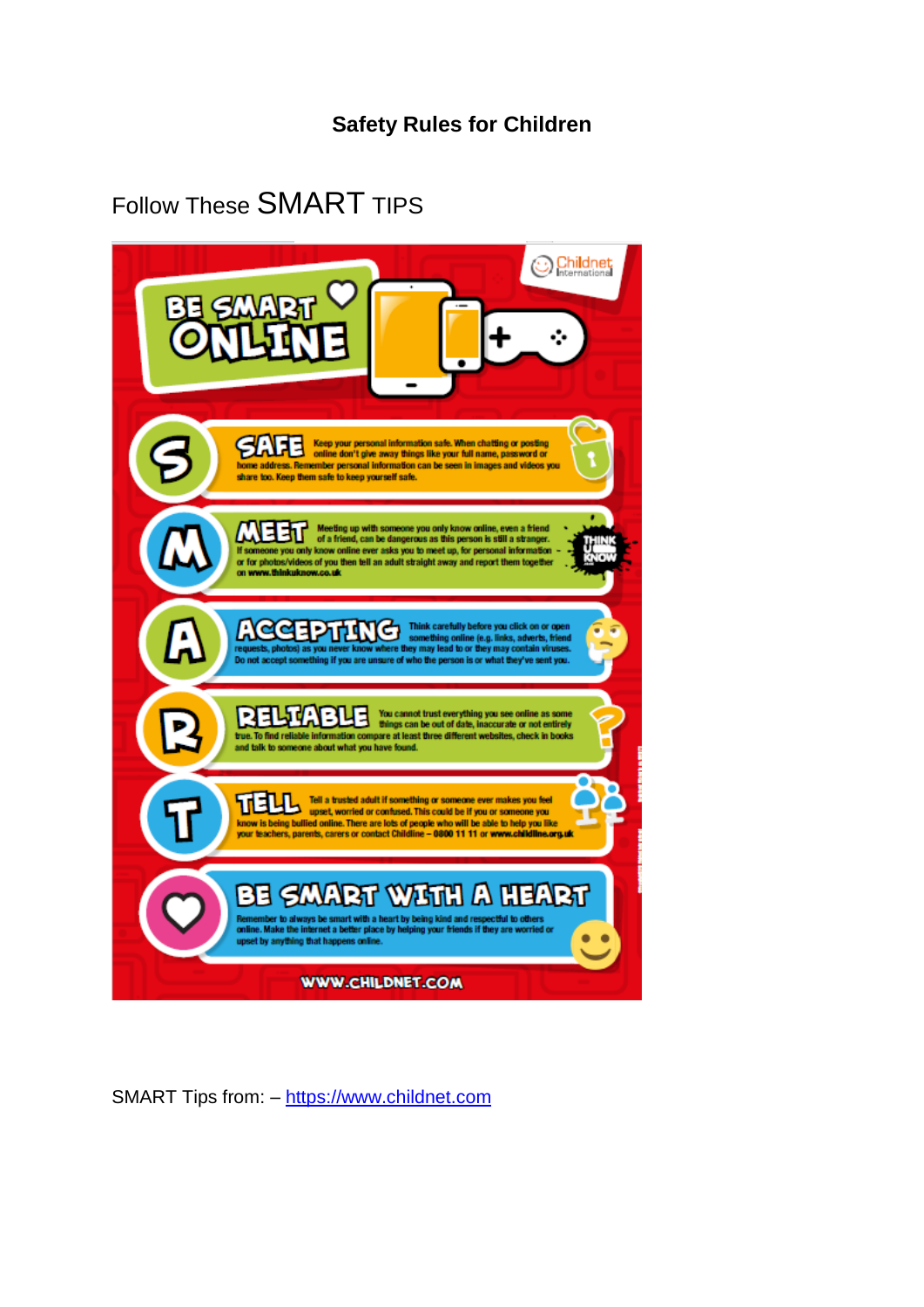# **Safety Rules for Children**

# Follow These SMART TIPS



SMART Tips from: – [https://www.childnet.com](https://www.childnet.com/)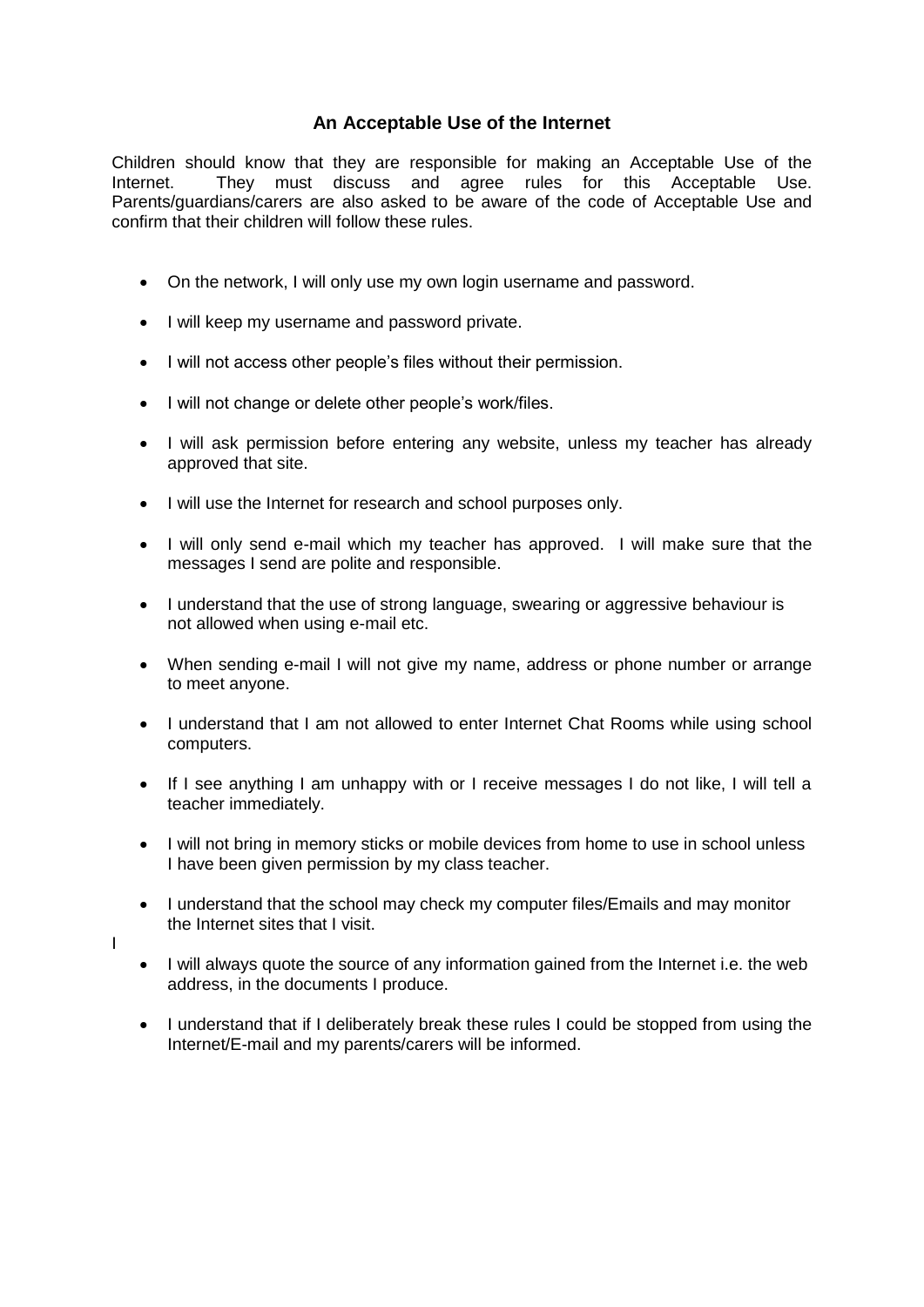# **An Acceptable Use of the Internet**

Children should know that they are responsible for making an Acceptable Use of the Internet. They must discuss and agree rules for this Acceptable Use. Parents/guardians/carers are also asked to be aware of the code of Acceptable Use and confirm that their children will follow these rules.

- On the network, I will only use my own login username and password.
- I will keep my username and password private.
- I will not access other people's files without their permission.
- I will not change or delete other people's work/files.
- I will ask permission before entering any website, unless my teacher has already approved that site.
- $\bullet$  I will use the Internet for research and school purposes only.
- I will only send e-mail which my teacher has approved. I will make sure that the messages I send are polite and responsible.
- I understand that the use of strong language, swearing or aggressive behaviour is not allowed when using e-mail etc.
- When sending e-mail I will not give my name, address or phone number or arrange to meet anyone.
- I understand that I am not allowed to enter Internet Chat Rooms while using school computers.
- If I see anything I am unhappy with or I receive messages I do not like, I will tell a teacher immediately.
- I will not bring in memory sticks or mobile devices from home to use in school unless I have been given permission by my class teacher.
- I understand that the school may check my computer files/Emails and may monitor the Internet sites that I visit.
- I
- I will always quote the source of any information gained from the Internet i.e. the web address, in the documents I produce.
- I understand that if I deliberately break these rules I could be stopped from using the Internet/E-mail and my parents/carers will be informed.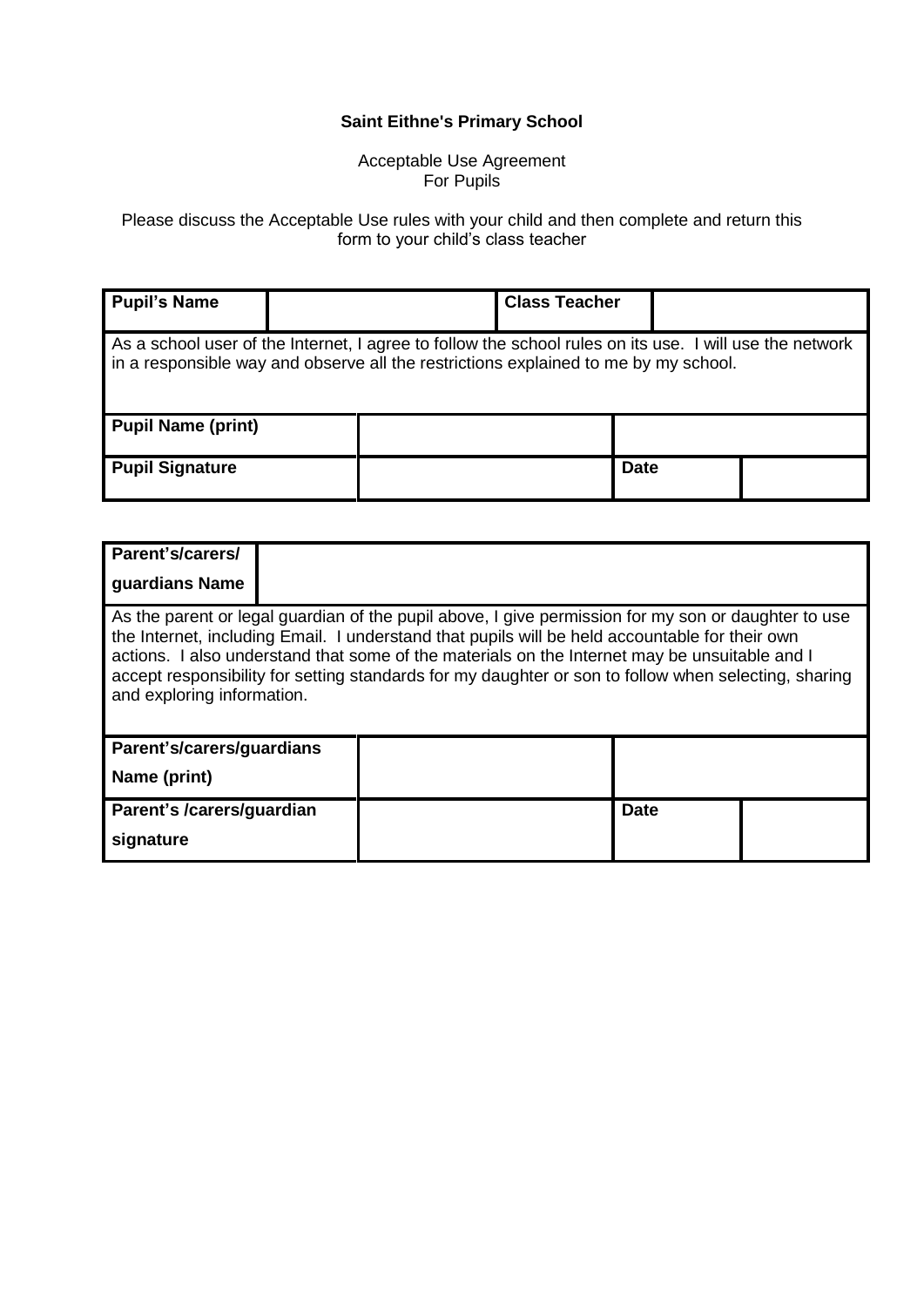# **Saint Eithne's Primary School**

#### Acceptable Use Agreement For Pupils

Please discuss the Acceptable Use rules with your child and then complete and return this form to your child's class teacher

| <b>Pupil's Name</b>                                                                                                                                                                            |  |  | <b>Class Teacher</b> |             |  |  |
|------------------------------------------------------------------------------------------------------------------------------------------------------------------------------------------------|--|--|----------------------|-------------|--|--|
|                                                                                                                                                                                                |  |  |                      |             |  |  |
| As a school user of the Internet, I agree to follow the school rules on its use. I will use the network<br>in a responsible way and observe all the restrictions explained to me by my school. |  |  |                      |             |  |  |
| <b>Pupil Name (print)</b>                                                                                                                                                                      |  |  |                      |             |  |  |
| <b>Pupil Signature</b>                                                                                                                                                                         |  |  |                      | <b>Date</b> |  |  |

| Parent's/carers/<br>guardians Name                                                                                                                                                                                                                                                                                                                                                                                                           |  |  |             |  |  |  |
|----------------------------------------------------------------------------------------------------------------------------------------------------------------------------------------------------------------------------------------------------------------------------------------------------------------------------------------------------------------------------------------------------------------------------------------------|--|--|-------------|--|--|--|
| As the parent or legal guardian of the pupil above, I give permission for my son or daughter to use<br>the Internet, including Email. I understand that pupils will be held accountable for their own<br>actions. I also understand that some of the materials on the Internet may be unsuitable and I<br>accept responsibility for setting standards for my daughter or son to follow when selecting, sharing<br>and exploring information. |  |  |             |  |  |  |
| Parent's/carers/guardians<br>Name (print)                                                                                                                                                                                                                                                                                                                                                                                                    |  |  |             |  |  |  |
| Parent's /carers/guardian<br>signature                                                                                                                                                                                                                                                                                                                                                                                                       |  |  | <b>Date</b> |  |  |  |